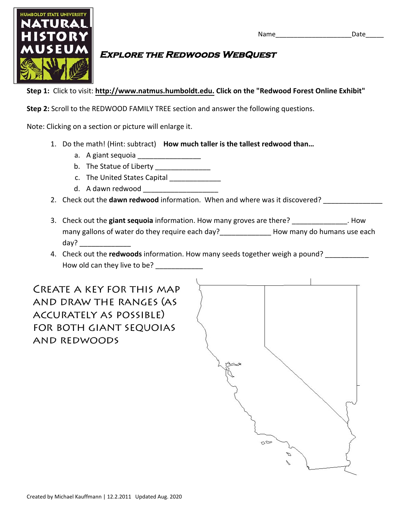

## **Explore the Redwoods WebQuest**

**Step 1:** Click to visit: **http://www.natmus.humboldt.edu. Click on the "Redwood Forest Online Exhibit"** 

**Step 2:** Scroll to the REDWOOD FAMILY TREE section and answer the following questions.

Note: Clicking on a section or picture will enlarge it.

- 1. Do the math! (Hint: subtract) **How much taller is the tallest redwood than…**
	- a. A giant sequoia \_\_\_\_\_\_\_\_\_\_\_\_\_\_\_\_\_
	- b. The Statue of Liberty \_\_\_\_\_\_\_\_\_\_\_\_\_\_\_\_
	- c. The United States Capital \_\_\_\_\_\_\_\_\_\_\_\_\_
	- d. A dawn redwood
- 2. Check out the **dawn redwood** information. When and where was it discovered?
- 3. Check out the **giant sequoia** information. How many groves are there? \_\_\_\_\_\_\_\_\_\_\_\_\_\_. How many gallons of water do they require each day?\_\_\_\_\_\_\_\_\_\_\_\_\_\_\_\_ How many do humans use each day?
- 4. Check out the **redwoods** information. How many seeds together weigh a pound? How old can they live to be?

**CREATE A KEY FOR THIS MAP** AND DRAW THE RANGES (AS ACCURATELY AS POSSIBLE) FOR BOTH GIANT SEQUOIAS **AND REDWOODS**